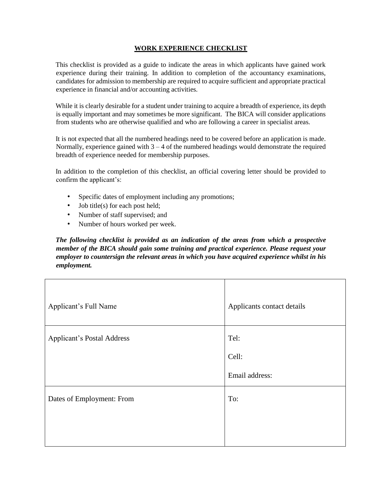#### **WORK EXPERIENCE CHECKLIST**

This checklist is provided as a guide to indicate the areas in which applicants have gained work experience during their training. In addition to completion of the accountancy examinations, candidates for admission to membership are required to acquire sufficient and appropriate practical experience in financial and/or accounting activities.

While it is clearly desirable for a student under training to acquire a breadth of experience, its depth is equally important and may sometimes be more significant. The BICA will consider applications from students who are otherwise qualified and who are following a career in specialist areas.

It is not expected that all the numbered headings need to be covered before an application is made. Normally, experience gained with  $3 - 4$  of the numbered headings would demonstrate the required breadth of experience needed for membership purposes.

In addition to the completion of this checklist, an official covering letter should be provided to confirm the applicant's:

- Specific dates of employment including any promotions;
- Job title(s) for each post held;
- Number of staff supervised; and
- Number of hours worked per week.

*The following checklist is provided as an indication of the areas from which a prospective member of the BICA should gain some training and practical experience. Please request your employer to countersign the relevant areas in which you have acquired experience whilst in his employment.* 

| Applicant's Full Name             | Applicants contact details      |
|-----------------------------------|---------------------------------|
| <b>Applicant's Postal Address</b> | Tel:<br>Cell:<br>Email address: |
| Dates of Employment: From         | To:                             |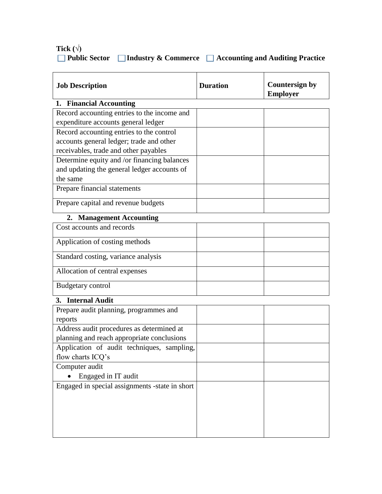# Tick  $(\forall)$  **Public Sector Industry & Commerce Accounting and Auditing Practice**

| <b>Job Description</b>                         | <b>Duration</b> | <b>Countersign by</b><br><b>Employer</b> |
|------------------------------------------------|-----------------|------------------------------------------|
| 1. Financial Accounting                        |                 |                                          |
| Record accounting entries to the income and    |                 |                                          |
| expenditure accounts general ledger            |                 |                                          |
| Record accounting entries to the control       |                 |                                          |
| accounts general ledger; trade and other       |                 |                                          |
| receivables, trade and other payables          |                 |                                          |
| Determine equity and /or financing balances    |                 |                                          |
| and updating the general ledger accounts of    |                 |                                          |
| the same                                       |                 |                                          |
| Prepare financial statements                   |                 |                                          |
| Prepare capital and revenue budgets            |                 |                                          |
| 2. Management Accounting                       |                 |                                          |
| Cost accounts and records                      |                 |                                          |
| Application of costing methods                 |                 |                                          |
| Standard costing, variance analysis            |                 |                                          |
| Allocation of central expenses                 |                 |                                          |
| <b>Budgetary control</b>                       |                 |                                          |
| 3. Internal Audit                              |                 |                                          |
| Prepare audit planning, programmes and         |                 |                                          |
| reports                                        |                 |                                          |
| Address audit procedures as determined at      |                 |                                          |
| planning and reach appropriate conclusions     |                 |                                          |
| Application of audit techniques, sampling,     |                 |                                          |
| flow charts ICQ's                              |                 |                                          |
| Computer audit                                 |                 |                                          |
| Engaged in IT audit                            |                 |                                          |
| Engaged in special assignments -state in short |                 |                                          |
|                                                |                 |                                          |
|                                                |                 |                                          |
|                                                |                 |                                          |
|                                                |                 |                                          |
|                                                |                 |                                          |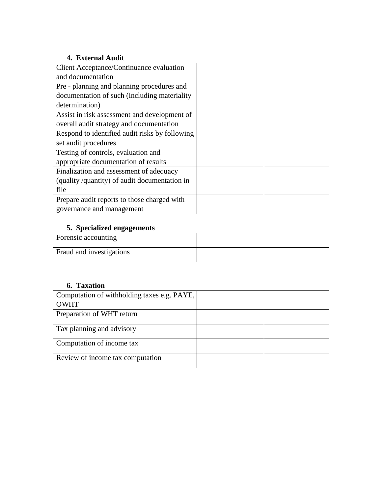#### **4. External Audit**

| Client Acceptance/Continuance evaluation       |  |
|------------------------------------------------|--|
| and documentation                              |  |
| Pre - planning and planning procedures and     |  |
| documentation of such (including materiality)  |  |
| determination)                                 |  |
| Assist in risk assessment and development of   |  |
| overall audit strategy and documentation       |  |
| Respond to identified audit risks by following |  |
| set audit procedures                           |  |
| Testing of controls, evaluation and            |  |
| appropriate documentation of results           |  |
| Finalization and assessment of adequacy        |  |
| (quality/quantity) of audit documentation in   |  |
| file                                           |  |
| Prepare audit reports to those charged with    |  |
| governance and management                      |  |

# **5. Specialized engagements**

| Forensic accounting      |  |
|--------------------------|--|
| Fraud and investigations |  |

### **6. Taxation**

| Computation of withholding taxes e.g. PAYE, |  |
|---------------------------------------------|--|
| <b>OWHT</b>                                 |  |
| Preparation of WHT return                   |  |
| Tax planning and advisory                   |  |
| Computation of income tax                   |  |
| Review of income tax computation            |  |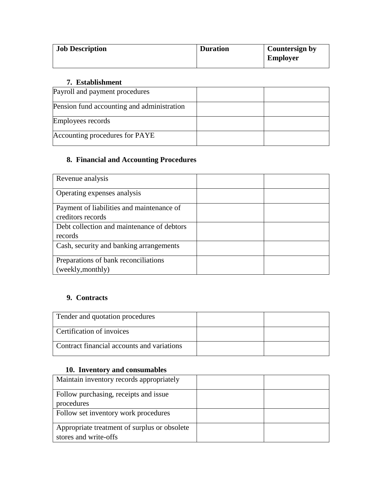| <b>Job Description</b> | <b>Duration</b> | <b>Countersign by</b><br><b>Employer</b> |
|------------------------|-----------------|------------------------------------------|
|------------------------|-----------------|------------------------------------------|

## **7. Establishment**

| Payroll and payment procedures             |  |
|--------------------------------------------|--|
| Pension fund accounting and administration |  |
| Employees records                          |  |
| Accounting procedures for PAYE             |  |

### **8. Financial and Accounting Procedures**

| Revenue analysis                           |  |
|--------------------------------------------|--|
| Operating expenses analysis                |  |
| Payment of liabilities and maintenance of  |  |
| creditors records                          |  |
| Debt collection and maintenance of debtors |  |
| records                                    |  |
| Cash, security and banking arrangements    |  |
| Preparations of bank reconciliations       |  |
| (weekly, monthly)                          |  |

#### **9. Contracts**

| Tender and quotation procedures            |  |
|--------------------------------------------|--|
| Certification of invoices                  |  |
| Contract financial accounts and variations |  |

#### **10. Inventory and consumables**

| Maintain inventory records appropriately                              |  |
|-----------------------------------------------------------------------|--|
| Follow purchasing, receipts and issue                                 |  |
| procedures                                                            |  |
| Follow set inventory work procedures                                  |  |
| Appropriate treatment of surplus or obsolete<br>stores and write-offs |  |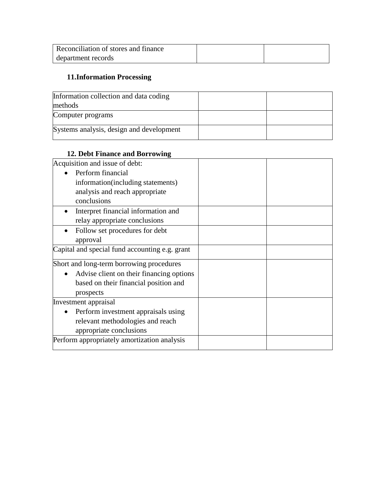| Reconciliation of stores and finance |  |
|--------------------------------------|--|
| department records                   |  |

# **11.Information Processing**

| Information collection and data coding   |  |
|------------------------------------------|--|
| methods                                  |  |
| Computer programs                        |  |
| Systems analysis, design and development |  |

### **12. Debt Finance and Borrowing**

| Acquisition and issue of debt:                 |  |
|------------------------------------------------|--|
| Perform financial                              |  |
| information(including statements)              |  |
| analysis and reach appropriate                 |  |
| conclusions                                    |  |
| Interpret financial information and            |  |
| relay appropriate conclusions                  |  |
| Follow set procedures for debt                 |  |
| approval                                       |  |
| Capital and special fund accounting e.g. grant |  |
| Short and long-term borrowing procedures       |  |
| Advise client on their financing options       |  |
| based on their financial position and          |  |
| prospects                                      |  |
| Investment appraisal                           |  |
| Perform investment appraisals using            |  |
| relevant methodologies and reach               |  |
| appropriate conclusions                        |  |
| Perform appropriately amortization analysis    |  |